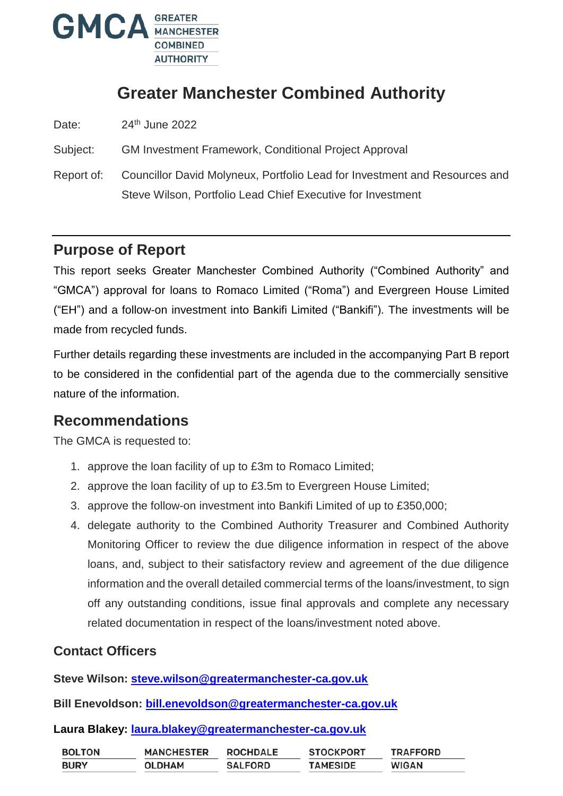

# **Greater Manchester Combined Authority**

Date: 24<sup>th</sup> June 2022

Subject: GM Investment Framework, Conditional Project Approval

Report of: Councillor David Molyneux, Portfolio Lead for Investment and Resources and Steve Wilson, Portfolio Lead Chief Executive for Investment

### **Purpose of Report**

This report seeks Greater Manchester Combined Authority ("Combined Authority" and "GMCA") approval for loans to Romaco Limited ("Roma") and Evergreen House Limited ("EH") and a follow-on investment into Bankifi Limited ("Bankifi"). The investments will be made from recycled funds.

Further details regarding these investments are included in the accompanying Part B report to be considered in the confidential part of the agenda due to the commercially sensitive nature of the information.

### **Recommendations**

The GMCA is requested to:

- 1. approve the loan facility of up to £3m to Romaco Limited;
- 2. approve the loan facility of up to £3.5m to Evergreen House Limited;
- 3. approve the follow-on investment into Bankifi Limited of up to £350,000;
- 4. delegate authority to the Combined Authority Treasurer and Combined Authority Monitoring Officer to review the due diligence information in respect of the above loans, and, subject to their satisfactory review and agreement of the due diligence information and the overall detailed commercial terms of the loans/investment, to sign off any outstanding conditions, issue final approvals and complete any necessary related documentation in respect of the loans/investment noted above.

#### **Contact Officers**

**Steve Wilson: [steve.wilson@greatermanchester-ca.gov.uk](mailto:steve.wilson@greatermanchester-ca.gov.uk)**

**Bill Enevoldson: [bill.enevoldson@greatermanchester-ca.gov.uk](mailto:bill.enevoldson@greatermanchester-ca.gov.uk)**

#### **Laura Blakey: laura.blakey@greatermanchester-ca.gov.uk**

| <b>BOLTON</b> | <b>MANCHESTER</b> | <b>ROCHDALE</b> | <b>STOCKPORT</b> | <b>TRAFFORD</b> |
|---------------|-------------------|-----------------|------------------|-----------------|
| <b>BURY</b>   | <b>OLDHAM</b>     | <b>SALFORD</b>  | <b>TAMESIDE</b>  | <b>WIGAN</b>    |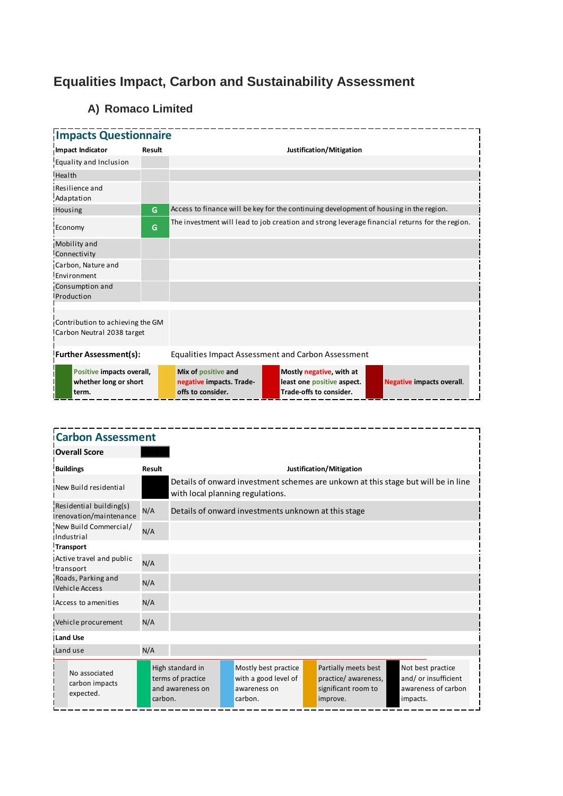# **Equalities Impact, Carbon and Sustainability Assessment**

## **A) Romaco Limited**

| <b>Impacts Questionnaire</b>                                   |        |                                                                      |                                                                                                |                                  |  |  |  |  |
|----------------------------------------------------------------|--------|----------------------------------------------------------------------|------------------------------------------------------------------------------------------------|----------------------------------|--|--|--|--|
| Impact Indicator                                               | Result | Justification/Mitigation                                             |                                                                                                |                                  |  |  |  |  |
| Equality and Inclusion                                         |        |                                                                      |                                                                                                |                                  |  |  |  |  |
| Health                                                         |        |                                                                      |                                                                                                |                                  |  |  |  |  |
| Resilience and<br>Adaptation                                   |        |                                                                      |                                                                                                |                                  |  |  |  |  |
| Housing                                                        | G      |                                                                      | Access to finance will be key for the continuing development of housing in the region.         |                                  |  |  |  |  |
| Economy                                                        | G      |                                                                      | The investment will lead to job creation and strong leverage financial returns for the region. |                                  |  |  |  |  |
| Mobility and<br>Connectivity                                   |        |                                                                      |                                                                                                |                                  |  |  |  |  |
| Carbon, Nature and<br>Environment                              |        |                                                                      |                                                                                                |                                  |  |  |  |  |
| Consumption and<br>Production                                  |        |                                                                      |                                                                                                |                                  |  |  |  |  |
| Contribution to achieving the GM<br>Carbon Neutral 2038 target |        |                                                                      |                                                                                                |                                  |  |  |  |  |
| <b>Further Assessment(s):</b>                                  |        | Equalities Impact Assessment and Carbon Assessment                   |                                                                                                |                                  |  |  |  |  |
| Positive impacts overall,<br>whether long or short<br>term.    |        | Mix of positive and<br>negative impacts. Trade-<br>offs to consider. | Mostly negative, with at<br>least one positive aspect.<br>Trade-offs to consider.              | <b>Negative impacts overall.</b> |  |  |  |  |

| <b>Carbon Assessment</b>                          |               |                                                           |                                                                                                                       |                                                                         |  |                                                                                 |  |                                                                             |  |
|---------------------------------------------------|---------------|-----------------------------------------------------------|-----------------------------------------------------------------------------------------------------------------------|-------------------------------------------------------------------------|--|---------------------------------------------------------------------------------|--|-----------------------------------------------------------------------------|--|
| <b>Overall Score</b>                              |               |                                                           |                                                                                                                       |                                                                         |  |                                                                                 |  |                                                                             |  |
| <b>Buildings</b>                                  | <b>Result</b> | Justification/Mitigation                                  |                                                                                                                       |                                                                         |  |                                                                                 |  |                                                                             |  |
| New Build residential                             |               |                                                           | Details of onward investment schemes are unkown at this stage but will be in line<br>with local planning regulations. |                                                                         |  |                                                                                 |  |                                                                             |  |
| Residential building(s)<br>renovation/maintenance | N/A           |                                                           | Details of onward investments unknown at this stage                                                                   |                                                                         |  |                                                                                 |  |                                                                             |  |
| New Build Commercial/<br>Industrial               | N/A           |                                                           |                                                                                                                       |                                                                         |  |                                                                                 |  |                                                                             |  |
| <b>Transport</b>                                  |               |                                                           |                                                                                                                       |                                                                         |  |                                                                                 |  |                                                                             |  |
| Active travel and public<br>transport             | N/A           |                                                           |                                                                                                                       |                                                                         |  |                                                                                 |  |                                                                             |  |
| Roads, Parking and<br><b>Vehicle Access</b>       | N/A           |                                                           |                                                                                                                       |                                                                         |  |                                                                                 |  |                                                                             |  |
| Access to amenities                               | N/A           |                                                           |                                                                                                                       |                                                                         |  |                                                                                 |  |                                                                             |  |
| Vehicle procurement                               | N/A           |                                                           |                                                                                                                       |                                                                         |  |                                                                                 |  |                                                                             |  |
| <b>Land Use</b>                                   |               |                                                           |                                                                                                                       |                                                                         |  |                                                                                 |  |                                                                             |  |
| Land use                                          | N/A           |                                                           |                                                                                                                       |                                                                         |  |                                                                                 |  |                                                                             |  |
| No associated<br>carbon impacts<br>expected.      | carbon.       | High standard in<br>terms of practice<br>and awareness on |                                                                                                                       | Mostly best practice<br>with a good level of<br>awareness on<br>carbon. |  | Partially meets best<br>practice/ awareness,<br>significant room to<br>improve. |  | Not best practice<br>and/or insufficient<br>awareness of carbon<br>impacts. |  |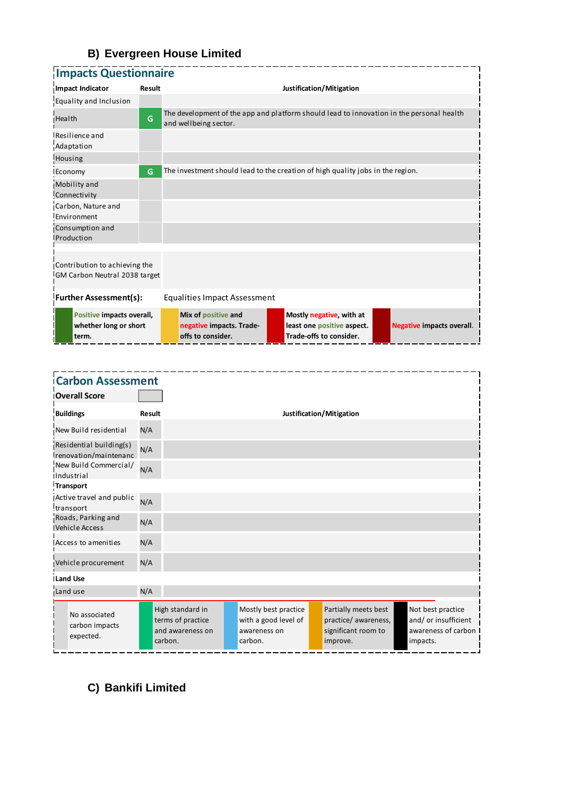## **B) Evergreen House Limited**

| <b>Impacts Questionnaire</b>                                   |                                           |                                                                      |                                                                                          |                                  |  |  |  |  |  |
|----------------------------------------------------------------|-------------------------------------------|----------------------------------------------------------------------|------------------------------------------------------------------------------------------|----------------------------------|--|--|--|--|--|
| Impact Indicator                                               | Justification/Mitigation<br><b>Result</b> |                                                                      |                                                                                          |                                  |  |  |  |  |  |
| Equality and Inclusion                                         |                                           |                                                                      |                                                                                          |                                  |  |  |  |  |  |
| Health                                                         | G                                         | and wellbeing sector.                                                | The development of the app and platform should lead to innovation in the personal health |                                  |  |  |  |  |  |
| Resilience and<br>Adaptation                                   |                                           |                                                                      |                                                                                          |                                  |  |  |  |  |  |
| Housing                                                        |                                           |                                                                      |                                                                                          |                                  |  |  |  |  |  |
| Economy                                                        | G                                         |                                                                      | The investment should lead to the creation of high quality jobs in the region.           |                                  |  |  |  |  |  |
| Mobility and<br>Connectivity                                   |                                           |                                                                      |                                                                                          |                                  |  |  |  |  |  |
| Carbon, Nature and<br>Environment                              |                                           |                                                                      |                                                                                          |                                  |  |  |  |  |  |
| Consumption and<br>Production                                  |                                           |                                                                      |                                                                                          |                                  |  |  |  |  |  |
| Contribution to achieving the<br>GM Carbon Neutral 2038 target |                                           |                                                                      |                                                                                          |                                  |  |  |  |  |  |
| <b>Further Assessment(s):</b><br>Equalities Impact Assessment  |                                           |                                                                      |                                                                                          |                                  |  |  |  |  |  |
| Positive impacts overall,<br>whether long or short<br>term.    |                                           | Mix of positive and<br>negative impacts. Trade-<br>offs to consider. | Mostly negative, with at<br>least one positive aspect.<br>Trade-offs to consider.        | <b>Negative impacts overall.</b> |  |  |  |  |  |

| <b>Carbon Assessment</b>                         |               |                                                                      |                                                                         |                                                                                 |                                                                              |
|--------------------------------------------------|---------------|----------------------------------------------------------------------|-------------------------------------------------------------------------|---------------------------------------------------------------------------------|------------------------------------------------------------------------------|
| <b>Overall Score</b>                             |               |                                                                      |                                                                         |                                                                                 |                                                                              |
| <b>Buildings</b>                                 | <b>Result</b> |                                                                      |                                                                         | Justification/Mitigation                                                        |                                                                              |
| New Build residential                            | N/A           |                                                                      |                                                                         |                                                                                 |                                                                              |
| Residential building(s)<br>renovation/maintenanc | N/A           |                                                                      |                                                                         |                                                                                 |                                                                              |
| New Build Commercial/<br><b>Industrial</b>       | N/A           |                                                                      |                                                                         |                                                                                 |                                                                              |
| Transport                                        |               |                                                                      |                                                                         |                                                                                 |                                                                              |
| Active travel and public<br>transport            | N/A           |                                                                      |                                                                         |                                                                                 |                                                                              |
| Roads, Parking and<br>Vehicle Access             | N/A           |                                                                      |                                                                         |                                                                                 |                                                                              |
| Access to amenities                              | N/A           |                                                                      |                                                                         |                                                                                 |                                                                              |
| Vehicle procurement                              | N/A           |                                                                      |                                                                         |                                                                                 |                                                                              |
| <b>ILand Use</b>                                 |               |                                                                      |                                                                         |                                                                                 |                                                                              |
| Land use                                         | N/A           |                                                                      |                                                                         |                                                                                 |                                                                              |
| No associated<br>carbon impacts<br>expected.     |               | High standard in<br>terms of practice<br>and awareness on<br>carbon. | Mostly best practice<br>with a good level of<br>awareness on<br>carbon. | Partially meets best<br>practice/ awareness,<br>significant room to<br>improve. | Not best practice<br>and/ or insufficient<br>awareness of carbon<br>impacts. |

## **C) Bankifi Limited**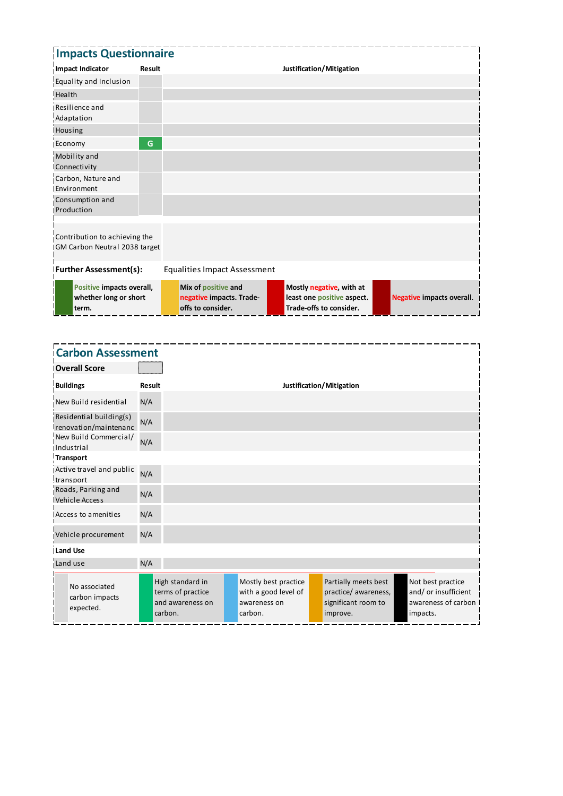| <b>Impacts Questionnaire</b>                                           |        |                                                                      |                                                                                   |                                  |
|------------------------------------------------------------------------|--------|----------------------------------------------------------------------|-----------------------------------------------------------------------------------|----------------------------------|
| Impact Indicator                                                       | Result |                                                                      | Justification/Mitigation                                                          |                                  |
| Equality and Inclusion                                                 |        |                                                                      |                                                                                   |                                  |
| Health                                                                 |        |                                                                      |                                                                                   |                                  |
| Resilience and<br>Adaptation                                           |        |                                                                      |                                                                                   |                                  |
| Housing                                                                |        |                                                                      |                                                                                   |                                  |
| Economy                                                                | G      |                                                                      |                                                                                   |                                  |
| Mobility and<br>Connectivity                                           |        |                                                                      |                                                                                   |                                  |
| Carbon, Nature and<br>Environment                                      |        |                                                                      |                                                                                   |                                  |
| Consumption and<br>Production                                          |        |                                                                      |                                                                                   |                                  |
| Contribution to achieving the<br><b>IGM Carbon Neutral 2038 target</b> |        |                                                                      |                                                                                   |                                  |
| <b>Further Assessment(s):</b>                                          |        | <b>Equalities Impact Assessment</b>                                  |                                                                                   |                                  |
| Positive impacts overall,<br>whether long or short<br>term.            |        | Mix of positive and<br>negative impacts. Trade-<br>offs to consider. | Mostly negative, with at<br>least one positive aspect.<br>Trade-offs to consider. | <b>Negative impacts overall.</b> |

| <b>Carbon Assessment</b>                         |               |                                                                      |                                                                         |                                                                                 |                                                                              |
|--------------------------------------------------|---------------|----------------------------------------------------------------------|-------------------------------------------------------------------------|---------------------------------------------------------------------------------|------------------------------------------------------------------------------|
| <b>Overall Score</b>                             |               |                                                                      |                                                                         |                                                                                 |                                                                              |
| <b>Buildings</b>                                 | <b>Result</b> |                                                                      |                                                                         | Justification/Mitigation                                                        |                                                                              |
| New Build residential                            | N/A           |                                                                      |                                                                         |                                                                                 |                                                                              |
| Residential building(s)<br>renovation/maintenanc | N/A           |                                                                      |                                                                         |                                                                                 |                                                                              |
| New Build Commercial/<br>Industrial              | N/A           |                                                                      |                                                                         |                                                                                 |                                                                              |
| <b>Transport</b>                                 |               |                                                                      |                                                                         |                                                                                 |                                                                              |
| Active travel and public<br>transport            | N/A           |                                                                      |                                                                         |                                                                                 |                                                                              |
| Roads, Parking and<br><b>Vehicle Access</b>      | N/A           |                                                                      |                                                                         |                                                                                 |                                                                              |
| Access to amenities                              | N/A           |                                                                      |                                                                         |                                                                                 |                                                                              |
| Vehicle procurement                              | N/A           |                                                                      |                                                                         |                                                                                 |                                                                              |
| <b>ILand Use</b>                                 |               |                                                                      |                                                                         |                                                                                 |                                                                              |
| Land use                                         | N/A           |                                                                      |                                                                         |                                                                                 |                                                                              |
| No associated<br>carbon impacts<br>expected.     |               | High standard in<br>terms of practice<br>and awareness on<br>carbon. | Mostly best practice<br>with a good level of<br>awareness on<br>carbon. | Partially meets best<br>practice/ awareness,<br>significant room to<br>improve. | Not best practice<br>and/ or insufficient<br>awareness of carbon<br>impacts. |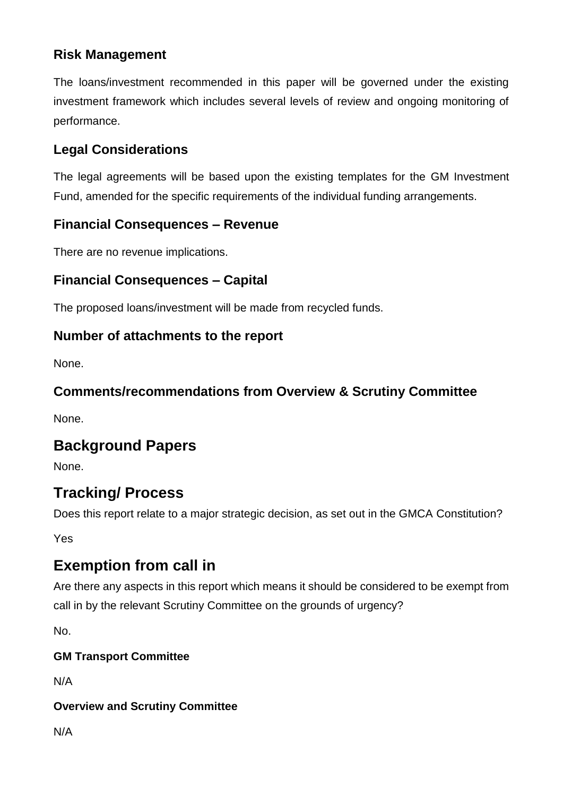## **Risk Management**

The loans/investment recommended in this paper will be governed under the existing investment framework which includes several levels of review and ongoing monitoring of performance.

### **Legal Considerations**

The legal agreements will be based upon the existing templates for the GM Investment Fund, amended for the specific requirements of the individual funding arrangements.

#### **Financial Consequences – Revenue**

There are no revenue implications.

### **Financial Consequences – Capital**

The proposed loans/investment will be made from recycled funds.

#### **Number of attachments to the report**

None.

#### **Comments/recommendations from Overview & Scrutiny Committee**

None.

### **Background Papers**

None.

## **Tracking/ Process**

Does this report relate to a major strategic decision, as set out in the GMCA Constitution?

Yes

## **Exemption from call in**

Are there any aspects in this report which means it should be considered to be exempt from call in by the relevant Scrutiny Committee on the grounds of urgency?

No.

#### **GM Transport Committee**

N/A

#### **Overview and Scrutiny Committee**

N/A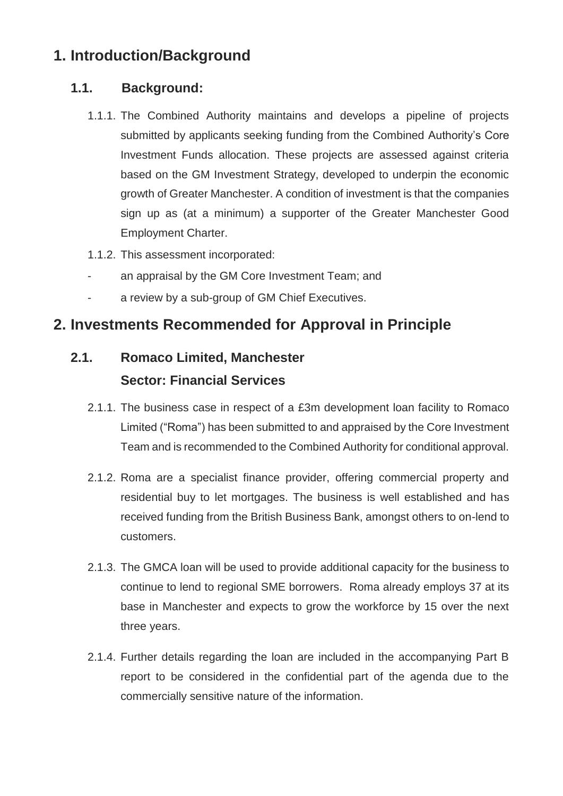## **1. Introduction/Background**

#### **1.1. Background:**

- 1.1.1. The Combined Authority maintains and develops a pipeline of projects submitted by applicants seeking funding from the Combined Authority's Core Investment Funds allocation. These projects are assessed against criteria based on the GM Investment Strategy, developed to underpin the economic growth of Greater Manchester. A condition of investment is that the companies sign up as (at a minimum) a supporter of the Greater Manchester Good Employment Charter.
- 1.1.2. This assessment incorporated:
- an appraisal by the GM Core Investment Team; and
- a review by a sub-group of GM Chief Executives.

## **2. Investments Recommended for Approval in Principle**

# **2.1. Romaco Limited, Manchester Sector: Financial Services**

- 2.1.1. The business case in respect of a £3m development loan facility to Romaco Limited ("Roma") has been submitted to and appraised by the Core Investment Team and is recommended to the Combined Authority for conditional approval.
- 2.1.2. Roma are a specialist finance provider, offering commercial property and residential buy to let mortgages. The business is well established and has received funding from the British Business Bank, amongst others to on-lend to customers.
- 2.1.3. The GMCA loan will be used to provide additional capacity for the business to continue to lend to regional SME borrowers. Roma already employs 37 at its base in Manchester and expects to grow the workforce by 15 over the next three years.
- 2.1.4. Further details regarding the loan are included in the accompanying Part B report to be considered in the confidential part of the agenda due to the commercially sensitive nature of the information.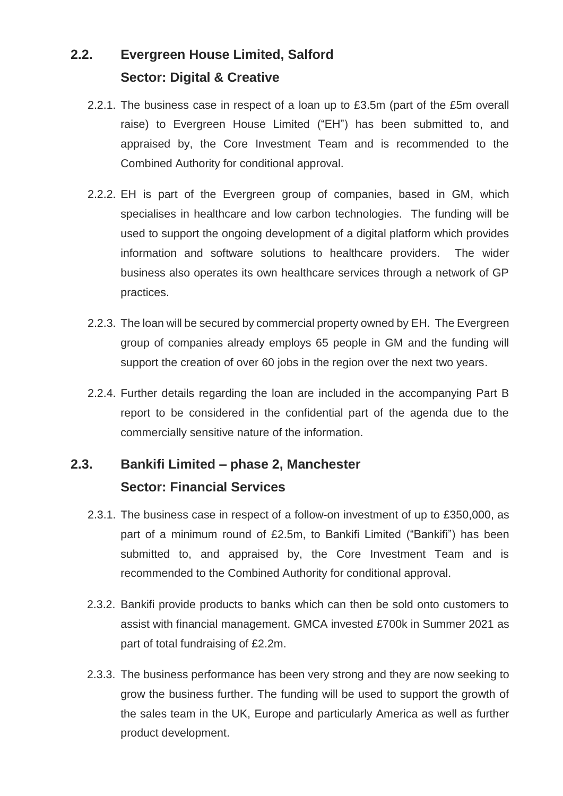# **2.2. Evergreen House Limited, Salford Sector: Digital & Creative**

- 2.2.1. The business case in respect of a loan up to £3.5m (part of the £5m overall raise) to Evergreen House Limited ("EH") has been submitted to, and appraised by, the Core Investment Team and is recommended to the Combined Authority for conditional approval.
- 2.2.2. EH is part of the Evergreen group of companies, based in GM, which specialises in healthcare and low carbon technologies. The funding will be used to support the ongoing development of a digital platform which provides information and software solutions to healthcare providers. The wider business also operates its own healthcare services through a network of GP practices.
- 2.2.3. The loan will be secured by commercial property owned by EH. The Evergreen group of companies already employs 65 people in GM and the funding will support the creation of over 60 jobs in the region over the next two years.
- 2.2.4. Further details regarding the loan are included in the accompanying Part B report to be considered in the confidential part of the agenda due to the commercially sensitive nature of the information.

# **2.3. Bankifi Limited – phase 2, Manchester Sector: Financial Services**

- 2.3.1. The business case in respect of a follow-on investment of up to £350,000, as part of a minimum round of £2.5m, to Bankifi Limited ("Bankifi") has been submitted to, and appraised by, the Core Investment Team and is recommended to the Combined Authority for conditional approval.
- 2.3.2. Bankifi provide products to banks which can then be sold onto customers to assist with financial management. GMCA invested £700k in Summer 2021 as part of total fundraising of £2.2m.
- 2.3.3. The business performance has been very strong and they are now seeking to grow the business further. The funding will be used to support the growth of the sales team in the UK, Europe and particularly America as well as further product development.